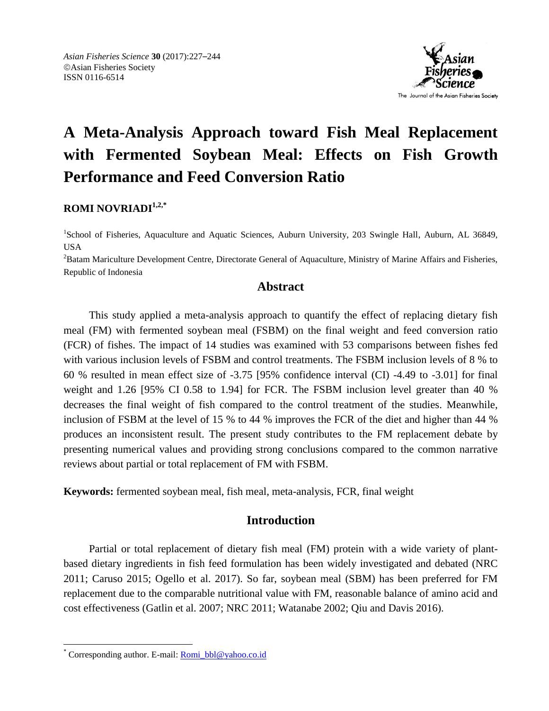

# **A Meta-Analysis Approach toward Fish Meal Replacement with Fermented Soybean Meal: Effects on Fish Growth Performance and Feed Conversion Ratio**

**ROMI NOVRIADI1,2,\***

<sup>1</sup>School of Fisheries, Aquaculture and Aquatic Sciences, Auburn University, 203 Swingle Hall, Auburn, AL 36849, USA

<sup>2</sup>Batam Mariculture Development Centre, Directorate General of Aquaculture, Ministry of Marine Affairs and Fisheries, Republic of Indonesia

## **Abstract**

This study applied a meta-analysis approach to quantify the effect of replacing dietary fish meal (FM) with fermented soybean meal (FSBM) on the final weight and feed conversion ratio (FCR) of fishes. The impact of 14 studies was examined with 53 comparisons between fishes fed with various inclusion levels of FSBM and control treatments. The FSBM inclusion levels of 8 % to 60 % resulted in mean effect size of -3.75 [95% confidence interval (CI) -4.49 to -3.01] for final weight and 1.26 [95% CI 0.58 to 1.94] for FCR. The FSBM inclusion level greater than 40 % decreases the final weight of fish compared to the control treatment of the studies. Meanwhile, inclusion of FSBM at the level of 15 % to 44 % improves the FCR of the diet and higher than 44 % produces an inconsistent result. The present study contributes to the FM replacement debate by presenting numerical values and providing strong conclusions compared to the common narrative reviews about partial or total replacement of FM with FSBM.

**Keywords:** fermented soybean meal, fish meal, meta-analysis, FCR, final weight

# **Introduction**

Partial or total replacement of dietary fish meal (FM) protein with a wide variety of plantbased dietary ingredients in fish feed formulation has been widely investigated and debated (NRC 2011; Caruso 2015; Ogello et al. 2017). So far, soybean meal (SBM) has been preferred for FM replacement due to the comparable nutritional value with FM, reasonable balance of amino acid and cost effectiveness (Gatlin et al. 2007; NRC 2011; Watanabe 2002; Qiu and Davis 2016).

 $\overline{\phantom{a}}$ 

<sup>\*</sup> Corresponding author. E-mail: [Romi\\_bbl@yahoo.co.id](mailto:Romi_bbl@yahoo.co.id)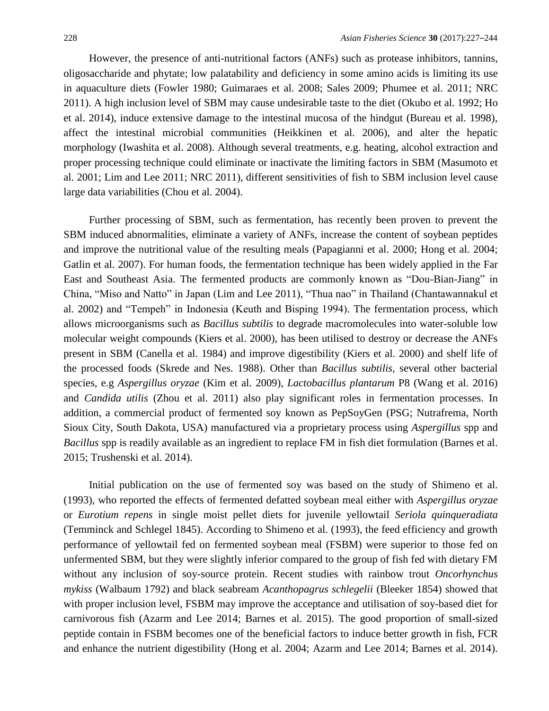However, the presence of anti-nutritional factors (ANFs) such as protease inhibitors, tannins, oligosaccharide and phytate; low palatability and deficiency in some amino acids is limiting its use in aquaculture diets (Fowler 1980; Guimaraes et al. 2008; Sales 2009; Phumee et al. 2011; NRC 2011). A high inclusion level of SBM may cause undesirable taste to the diet (Okubo et al. 1992; Ho et al. 2014), induce extensive damage to the intestinal mucosa of the hindgut (Bureau et al. 1998), affect the intestinal microbial communities (Heikkinen et al. 2006), and alter the hepatic morphology (Iwashita et al. 2008). Although several treatments, e.g. heating, alcohol extraction and proper processing technique could eliminate or inactivate the limiting factors in SBM (Masumoto et al. 2001; Lim and Lee 2011; NRC 2011), different sensitivities of fish to SBM inclusion level cause large data variabilities (Chou et al. 2004).

Further processing of SBM, such as fermentation, has recently been proven to prevent the SBM induced abnormalities, eliminate a variety of ANFs, increase the content of soybean peptides and improve the nutritional value of the resulting meals (Papagianni et al. 2000; Hong et al. 2004; Gatlin et al. 2007). For human foods, the fermentation technique has been widely applied in the Far East and Southeast Asia. The fermented products are commonly known as "Dou-Bian-Jiang" in China, "Miso and Natto" in Japan (Lim and Lee 2011), "Thua nao" in Thailand (Chantawannakul et al. 2002) and "Tempeh" in Indonesia (Keuth and Bisping 1994). The fermentation process, which allows microorganisms such as *Bacillus subtilis* to degrade macromolecules into water-soluble low molecular weight compounds (Kiers et al. 2000), has been utilised to destroy or decrease the ANFs present in SBM (Canella et al. 1984) and improve digestibility (Kiers et al. 2000) and shelf life of the processed foods (Skrede and Nes. 1988). Other than *Bacillus subtilis,* several other bacterial species, e.g *Aspergillus oryzae* (Kim et al. 2009), *Lactobacillus plantarum* P8 (Wang et al. 2016) and *Candida utilis* (Zhou et al. 2011) also play significant roles in fermentation processes. In addition, a commercial product of fermented soy known as PepSoyGen (PSG; Nutrafrema, North Sioux City, South Dakota, USA) manufactured via a proprietary process using *Aspergillus* spp and *Bacillus* spp is readily available as an ingredient to replace FM in fish diet formulation (Barnes et al. 2015; Trushenski et al. 2014).

Initial publication on the use of fermented soy was based on the study of Shimeno et al. (1993), who reported the effects of fermented defatted soybean meal either with *Aspergillus oryzae*  or *Eurotium repens* in single moist pellet diets for juvenile yellowtail *Seriola quinqueradiata* (Temminck and Schlegel 1845). According to Shimeno et al. (1993), the feed efficiency and growth performance of yellowtail fed on fermented soybean meal (FSBM) were superior to those fed on unfermented SBM, but they were slightly inferior compared to the group of fish fed with dietary FM without any inclusion of soy-source protein. Recent studies with rainbow trout *Oncorhynchus mykiss* (Walbaum 1792) and black seabream *Acanthopagrus schlegelii* (Bleeker 1854) showed that with proper inclusion level, FSBM may improve the acceptance and utilisation of soy-based diet for carnivorous fish (Azarm and Lee 2014; Barnes et al. 2015). The good proportion of small-sized peptide contain in FSBM becomes one of the beneficial factors to induce better growth in fish, FCR and enhance the nutrient digestibility (Hong et al. 2004; Azarm and Lee 2014; Barnes et al. 2014).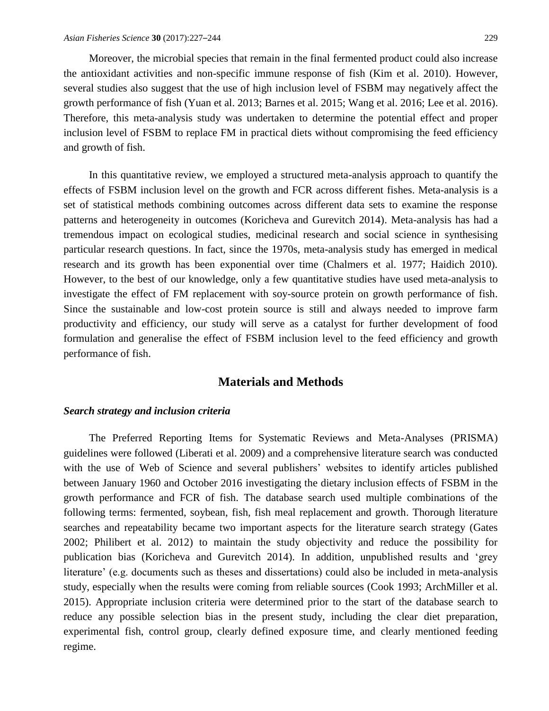Moreover, the microbial species that remain in the final fermented product could also increase the antioxidant activities and non-specific immune response of fish (Kim et al. 2010). However, several studies also suggest that the use of high inclusion level of FSBM may negatively affect the growth performance of fish (Yuan et al. 2013; Barnes et al. 2015; Wang et al. 2016; Lee et al. 2016). Therefore, this meta-analysis study was undertaken to determine the potential effect and proper inclusion level of FSBM to replace FM in practical diets without compromising the feed efficiency and growth of fish.

In this quantitative review, we employed a structured meta-analysis approach to quantify the effects of FSBM inclusion level on the growth and FCR across different fishes. Meta-analysis is a set of statistical methods combining outcomes across different data sets to examine the response patterns and heterogeneity in outcomes (Koricheva and Gurevitch 2014). Meta-analysis has had a tremendous impact on ecological studies, medicinal research and social science in synthesising particular research questions. In fact, since the 1970s, meta-analysis study has emerged in medical research and its growth has been exponential over time (Chalmers et al. 1977; Haidich 2010). However, to the best of our knowledge, only a few quantitative studies have used meta-analysis to investigate the effect of FM replacement with soy-source protein on growth performance of fish. Since the sustainable and low-cost protein source is still and always needed to improve farm productivity and efficiency, our study will serve as a catalyst for further development of food formulation and generalise the effect of FSBM inclusion level to the feed efficiency and growth performance of fish.

## **Materials and Methods**

#### *Search strategy and inclusion criteria*

The Preferred Reporting Items for Systematic Reviews and Meta-Analyses (PRISMA) guidelines were followed (Liberati et al. 2009) and a comprehensive literature search was conducted with the use of Web of Science and several publishers' websites to identify articles published between January 1960 and October 2016 investigating the dietary inclusion effects of FSBM in the growth performance and FCR of fish. The database search used multiple combinations of the following terms: fermented, soybean, fish, fish meal replacement and growth. Thorough literature searches and repeatability became two important aspects for the literature search strategy (Gates 2002; Philibert et al. 2012) to maintain the study objectivity and reduce the possibility for publication bias (Koricheva and Gurevitch 2014). In addition, unpublished results and 'grey literature' (e.g. documents such as theses and dissertations) could also be included in meta-analysis study, especially when the results were coming from reliable sources (Cook 1993; ArchMiller et al. 2015). Appropriate inclusion criteria were determined prior to the start of the database search to reduce any possible selection bias in the present study, including the clear diet preparation, experimental fish, control group, clearly defined exposure time, and clearly mentioned feeding regime.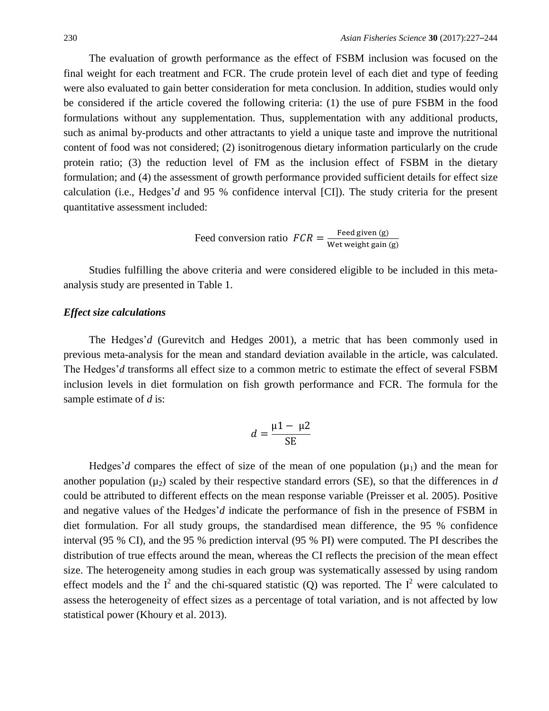The evaluation of growth performance as the effect of FSBM inclusion was focused on the final weight for each treatment and FCR. The crude protein level of each diet and type of feeding were also evaluated to gain better consideration for meta conclusion. In addition, studies would only be considered if the article covered the following criteria: (1) the use of pure FSBM in the food formulations without any supplementation. Thus, supplementation with any additional products, such as animal by-products and other attractants to yield a unique taste and improve the nutritional content of food was not considered; (2) isonitrogenous dietary information particularly on the crude protein ratio; (3) the reduction level of FM as the inclusion effect of FSBM in the dietary formulation; and (4) the assessment of growth performance provided sufficient details for effect size calculation (i.e., Hedges'*d* and 95 % confidence interval [CI]). The study criteria for the present quantitative assessment included:

$$
Feed conversion ratio \tFCR = \frac{Feed given (g)}{Wet weight gain (g)}
$$

Studies fulfilling the above criteria and were considered eligible to be included in this metaanalysis study are presented in Table 1.

#### *Effect size calculations*

The Hedges'*d* (Gurevitch and Hedges 2001), a metric that has been commonly used in previous meta-analysis for the mean and standard deviation available in the article, was calculated. The Hedges'*d* transforms all effect size to a common metric to estimate the effect of several FSBM inclusion levels in diet formulation on fish growth performance and FCR. The formula for the sample estimate of *d* is:

$$
d = \frac{\mu 1 - \mu 2}{SE}
$$

Hedges'd compares the effect of size of the mean of one population  $(\mu_1)$  and the mean for another population  $(\mu_2)$  scaled by their respective standard errors (SE), so that the differences in *d* could be attributed to different effects on the mean response variable (Preisser et al. 2005). Positive and negative values of the Hedges'*d* indicate the performance of fish in the presence of FSBM in diet formulation. For all study groups, the standardised mean difference, the 95 % confidence interval (95 % CI), and the 95 % prediction interval (95 % PI) were computed. The PI describes the distribution of true effects around the mean, whereas the CI reflects the precision of the mean effect size. The heterogeneity among studies in each group was systematically assessed by using random effect models and the  $I^2$  and the chi-squared statistic (Q) was reported. The  $I^2$  were calculated to assess the heterogeneity of effect sizes as a percentage of total variation, and is not affected by low statistical power (Khoury et al. 2013).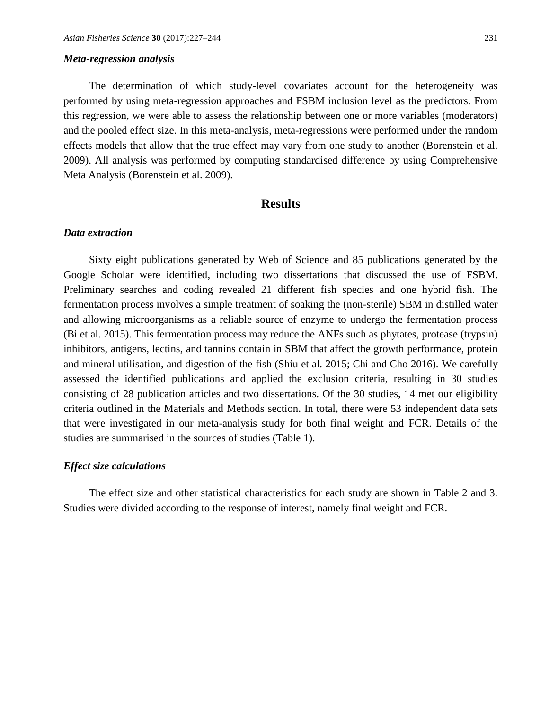#### *Meta-regression analysis*

The determination of which study-level covariates account for the heterogeneity was performed by using meta-regression approaches and FSBM inclusion level as the predictors. From this regression, we were able to assess the relationship between one or more variables (moderators) and the pooled effect size. In this meta-analysis, meta-regressions were performed under the random effects models that allow that the true effect may vary from one study to another (Borenstein et al. 2009). All analysis was performed by computing standardised difference by using Comprehensive Meta Analysis (Borenstein et al. 2009).

## **Results**

#### *Data extraction*

Sixty eight publications generated by Web of Science and 85 publications generated by the Google Scholar were identified, including two dissertations that discussed the use of FSBM. Preliminary searches and coding revealed 21 different fish species and one hybrid fish. The fermentation process involves a simple treatment of soaking the (non-sterile) SBM in distilled water and allowing microorganisms as a reliable source of enzyme to undergo the fermentation process (Bi et al. 2015). This fermentation process may reduce the ANFs such as phytates, protease (trypsin) inhibitors, antigens, lectins, and tannins contain in SBM that affect the growth performance, protein and mineral utilisation, and digestion of the fish (Shiu et al. 2015; Chi and Cho 2016). We carefully assessed the identified publications and applied the exclusion criteria, resulting in 30 studies consisting of 28 publication articles and two dissertations. Of the 30 studies, 14 met our eligibility criteria outlined in the Materials and Methods section. In total, there were 53 independent data sets that were investigated in our meta-analysis study for both final weight and FCR. Details of the studies are summarised in the sources of studies (Table 1).

#### *Effect size calculations*

The effect size and other statistical characteristics for each study are shown in Table 2 and 3. Studies were divided according to the response of interest, namely final weight and FCR.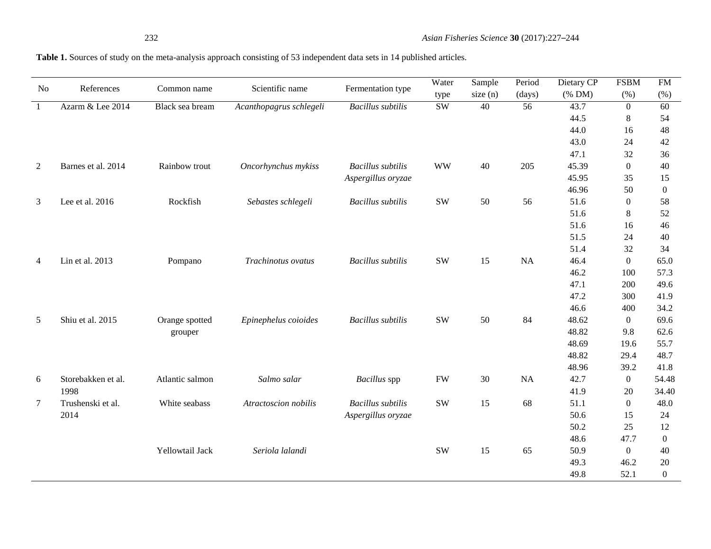## **Table 1.** Sources of study on the meta-analysis approach consisting of 53 independent data sets in 14 published articles.

| No             | References         | Common name     | Scientific name         | Fermentation type        | Water                  | Sample  | Period    | Dietary CP | <b>FSBM</b>      | <b>FM</b>      |
|----------------|--------------------|-----------------|-------------------------|--------------------------|------------------------|---------|-----------|------------|------------------|----------------|
|                |                    |                 |                         |                          | type                   | size(n) | (days)    | (% DM)     | (% )             | (%)            |
| $\mathbf{1}$   | Azarm & Lee 2014   | Black sea bream | Acanthopagrus schlegeli | <b>Bacillus</b> subtilis | $\overline{\text{SW}}$ | 40      | 56        | 43.7       | $\theta$         | 60             |
|                |                    |                 |                         |                          |                        |         |           | 44.5       | $\,8\,$          | 54             |
|                |                    |                 |                         |                          |                        |         |           | 44.0       | 16               | 48             |
|                |                    |                 |                         |                          |                        |         |           | 43.0       | 24               | 42             |
|                |                    |                 |                         |                          |                        |         |           | 47.1       | 32               | 36             |
| 2              | Barnes et al. 2014 | Rainbow trout   | Oncorhynchus mykiss     | <b>Bacillus</b> subtilis | <b>WW</b>              | 40      | 205       | 45.39      | $\boldsymbol{0}$ | 40             |
|                |                    |                 |                         | Aspergillus oryzae       |                        |         |           | 45.95      | 35               | 15             |
|                |                    |                 |                         |                          |                        |         |           | 46.96      | 50               | $\overline{0}$ |
| 3              | Lee et al. 2016    | Rockfish        | Sebastes schlegeli      | <b>Bacillus</b> subtilis | <b>SW</b>              | 50      | 56        | 51.6       | $\theta$         | 58             |
|                |                    |                 |                         |                          |                        |         |           | 51.6       | 8                | 52             |
|                |                    |                 |                         |                          |                        |         |           | 51.6       | 16               | 46             |
|                |                    |                 |                         |                          |                        |         |           | 51.5       | 24               | 40             |
|                |                    |                 |                         |                          |                        |         |           | 51.4       | 32               | 34             |
| $\overline{4}$ | Lin et al. 2013    | Pompano         | Trachinotus ovatus      | <b>Bacillus</b> subtilis | <b>SW</b>              | 15      | <b>NA</b> | 46.4       | $\overline{0}$   | 65.0           |
|                |                    |                 |                         |                          |                        |         |           | 46.2       | 100              | 57.3           |
|                |                    |                 |                         |                          |                        |         |           | 47.1       | 200              | 49.6           |
|                |                    |                 |                         |                          |                        |         |           | 47.2       | 300              | 41.9           |
|                |                    |                 |                         |                          |                        |         |           | 46.6       | 400              | 34.2           |
| $\mathfrak{S}$ | Shiu et al. 2015   | Orange spotted  | Epinephelus coioides    | <b>Bacillus</b> subtilis | <b>SW</b>              | 50      | 84        | 48.62      | $\boldsymbol{0}$ | 69.6           |
|                |                    | grouper         |                         |                          |                        |         |           | 48.82      | 9.8              | 62.6           |
|                |                    |                 |                         |                          |                        |         |           | 48.69      | 19.6             | 55.7           |
|                |                    |                 |                         |                          |                        |         |           | 48.82      | 29.4             | 48.7           |
|                |                    |                 |                         |                          |                        |         |           | 48.96      | 39.2             | 41.8           |
| 6              | Storebakken et al. | Atlantic salmon | Salmo salar             | Bacillus spp             | <b>FW</b>              | 30      | NA        | 42.7       | $\overline{0}$   | 54.48          |
|                | 1998               |                 |                         |                          |                        |         |           | 41.9       | 20               | 34.40          |
| $\tau$         | Trushenski et al.  | White seabass   | Atractoscion nobilis    | <b>Bacillus</b> subtilis | <b>SW</b>              | 15      | 68        | 51.1       | $\boldsymbol{0}$ | 48.0           |
|                | 2014               |                 |                         | Aspergillus oryzae       |                        |         |           | 50.6       | 15               | 24             |
|                |                    |                 |                         |                          |                        |         |           | 50.2       | 25               | 12             |
|                |                    |                 |                         |                          |                        |         |           | 48.6       | 47.7             | $\overline{0}$ |
|                |                    | Yellowtail Jack | Seriola lalandi         |                          | <b>SW</b>              | 15      | 65        | 50.9       | $\overline{0}$   | 40             |
|                |                    |                 |                         |                          |                        |         |           | 49.3       | 46.2             | 20             |
|                |                    |                 |                         |                          |                        |         |           | 49.8       | 52.1             | $\Omega$       |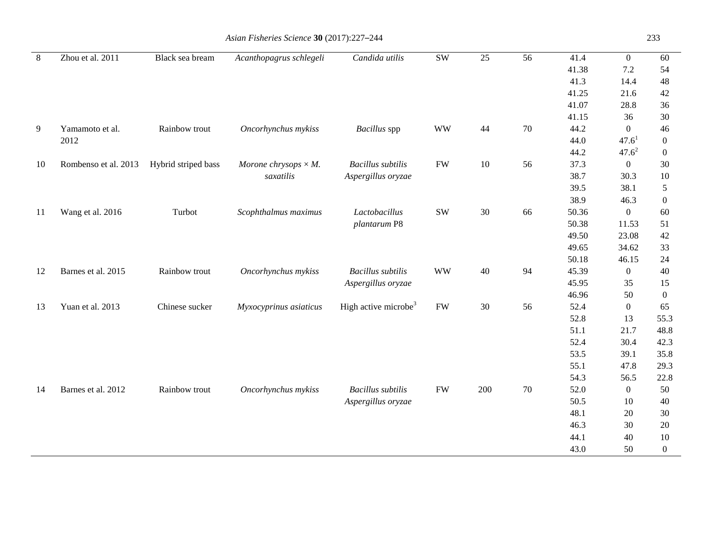| 8  | Zhou et al. 2011     | Black sea bream     | Acanthopagrus schlegeli      | Candida utilis                   | <b>SW</b>     | 25  | 56 | 41.4  | $\overline{0}$    | 60               |
|----|----------------------|---------------------|------------------------------|----------------------------------|---------------|-----|----|-------|-------------------|------------------|
|    |                      |                     |                              |                                  |               |     |    | 41.38 | 7.2               | 54               |
|    |                      |                     |                              |                                  |               |     |    | 41.3  | 14.4              | 48               |
|    |                      |                     |                              |                                  |               |     |    | 41.25 | 21.6              | $42\,$           |
|    |                      |                     |                              |                                  |               |     |    | 41.07 | 28.8              | 36               |
|    |                      |                     |                              |                                  |               |     |    | 41.15 | 36                | 30               |
| 9  | Yamamoto et al.      | Rainbow trout       | Oncorhynchus mykiss          | Bacillus spp                     | <b>WW</b>     | 44  | 70 | 44.2  | $\overline{0}$    | $46\,$           |
|    | 2012                 |                     |                              |                                  |               |     |    | 44.0  | 47.6 <sup>1</sup> | $\boldsymbol{0}$ |
|    |                      |                     |                              |                                  |               |     |    | 44.2  | $47.6^{2}$        | $\boldsymbol{0}$ |
| 10 | Rombenso et al. 2013 | Hybrid striped bass | Morone chrysops $\times M$ . | <b>Bacillus</b> subtilis         | <b>FW</b>     | 10  | 56 | 37.3  | $\overline{0}$    | 30               |
|    |                      |                     | saxatilis                    | Aspergillus oryzae               |               |     |    | 38.7  | 30.3              | 10               |
|    |                      |                     |                              |                                  |               |     |    | 39.5  | 38.1              | $\mathfrak{S}$   |
|    |                      |                     |                              |                                  |               |     |    | 38.9  | 46.3              | $\boldsymbol{0}$ |
| 11 | Wang et al. 2016     | Turbot              | Scophthalmus maximus         | Lactobacillus                    | $\mathrm{SW}$ | 30  | 66 | 50.36 | $\overline{0}$    | 60               |
|    |                      |                     |                              | plantarum P8                     |               |     |    | 50.38 | 11.53             | 51               |
|    |                      |                     |                              |                                  |               |     |    | 49.50 | 23.08             | 42               |
|    |                      |                     |                              |                                  |               |     |    | 49.65 | 34.62             | 33               |
|    |                      |                     |                              |                                  |               |     |    | 50.18 | 46.15             | 24               |
| 12 | Barnes et al. 2015   | Rainbow trout       | Oncorhynchus mykiss          | <b>Bacillus</b> subtilis         | <b>WW</b>     | 40  | 94 | 45.39 | $\overline{0}$    | 40               |
|    |                      |                     |                              | Aspergillus oryzae               |               |     |    | 45.95 | 35                | 15               |
|    |                      |                     |                              |                                  |               |     |    | 46.96 | 50                | $\boldsymbol{0}$ |
| 13 | Yuan et al. 2013     | Chinese sucker      | Myxocyprinus asiaticus       | High active microbe <sup>3</sup> | <b>FW</b>     | 30  | 56 | 52.4  | $\boldsymbol{0}$  | 65               |
|    |                      |                     |                              |                                  |               |     |    | 52.8  | 13                | 55.3             |
|    |                      |                     |                              |                                  |               |     |    | 51.1  | 21.7              | 48.8             |
|    |                      |                     |                              |                                  |               |     |    | 52.4  | 30.4              | 42.3             |
|    |                      |                     |                              |                                  |               |     |    | 53.5  | 39.1              | 35.8             |
|    |                      |                     |                              |                                  |               |     |    | 55.1  | 47.8              | 29.3             |
|    |                      |                     |                              |                                  |               |     |    | 54.3  | 56.5              | 22.8             |
| 14 | Barnes et al. 2012   | Rainbow trout       | Oncorhynchus mykiss          | <b>Bacillus</b> subtilis         | <b>FW</b>     | 200 | 70 | 52.0  | $\overline{0}$    | 50               |
|    |                      |                     |                              | Aspergillus oryzae               |               |     |    | 50.5  | 10                | 40               |
|    |                      |                     |                              |                                  |               |     |    | 48.1  | 20                | 30               |
|    |                      |                     |                              |                                  |               |     |    | 46.3  | 30                | 20               |
|    |                      |                     |                              |                                  |               |     |    | 44.1  | 40                | 10               |
|    |                      |                     |                              |                                  |               |     |    | 43.0  | 50                | $\overline{0}$   |

## *Asian Fisheries Science* **30** (2017):227–244 233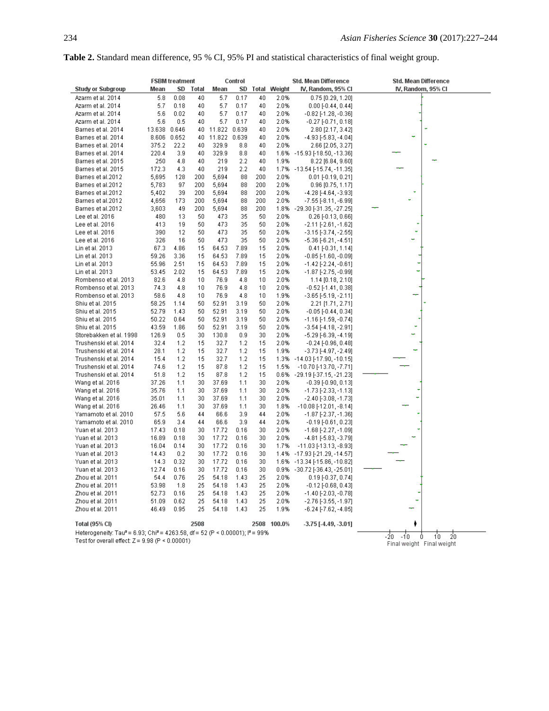| Table 2. Standard mean difference, 95 % CI, 95% PI and statistical characteristics of final weight group. |  |  |  |  |  |  |
|-----------------------------------------------------------------------------------------------------------|--|--|--|--|--|--|
|-----------------------------------------------------------------------------------------------------------|--|--|--|--|--|--|

|                                                                                                                                              | <b>FSBM</b> treatment<br>Control |       |       |              |      |       | Std. Mean Difference | Std. Mean Difference            |                    |  |
|----------------------------------------------------------------------------------------------------------------------------------------------|----------------------------------|-------|-------|--------------|------|-------|----------------------|---------------------------------|--------------------|--|
| Study or Subgroup                                                                                                                            | Mean                             | SD    | Total | Mean         | SD   | Total | Weight               | IV, Random, 95% CI              | IV, Random, 95% CI |  |
| Azarm et al. 2014                                                                                                                            | 5.8                              | 0.08  | 40    | 5.7          | 0.17 | 40    | 2.0%                 | 0.75 [0.29, 1.20]               |                    |  |
| Azarm et al. 2014                                                                                                                            | 5.7                              | 0.18  | 40    | 5.7          | 0.17 | 40    | 2.0%                 | $0.00$ [-0.44, 0.44]            |                    |  |
| Azarm et al. 2014                                                                                                                            | 5.6                              | 0.02  | 40    | 5.7          | 0.17 | 40    | 2.0%                 | -0.82 [-1.28, -0.36]            |                    |  |
| Azarm et al. 2014                                                                                                                            | 5.6                              | 0.5   | 40    | 5.7          | 0.17 | 40    | 2.0%                 | $-0.27$ [ $-0.71$ , $0.18$ ]    |                    |  |
| Barnes et al. 2014                                                                                                                           | 13.638                           | 0.646 | 40    | 11.822 0.639 |      | 40    | 2.0%                 | 2.80 [2.17, 3.42]               |                    |  |
| Barnes et al. 2014                                                                                                                           | 8.606                            | 0.652 | 40    | 11.822 0.639 |      | 40    | 2.0%                 | -4.93 [-5.83, -4.04]            |                    |  |
| Barnes et al. 2014                                                                                                                           | 375.2                            | 22.2  | 40    | 329.9        | 8.8  | 40    | 2.0%                 | 2.66 [2.05, 3.27]               |                    |  |
| Barnes et al. 2014                                                                                                                           | 220.4                            | 3.9   | 40    | 329.9        | 8.8  | 40    |                      | 1.6% -15.93 [-18.50, -13.36]    |                    |  |
| Barnes et al. 2015                                                                                                                           | 250                              | 4.8   | 40    | 219          | 2.2  | 40    | 1.9%                 | 8.22 [6.84, 9.60]               |                    |  |
| Barnes et al. 2015                                                                                                                           | 172.3                            | 4.3   | 40    | 219          | 2.2  | 40    |                      | 1.7% -13.54 [-15.74, -11.35]    |                    |  |
| Barnes et al.2012                                                                                                                            | 5,695                            | 128   | 200   | 5,694        | 88   | 200   | 2.0%                 | $0.01$ [-0.19, 0.21]            |                    |  |
| Barnes et al.2012                                                                                                                            | 5,783                            | 97    | 200   | 5,694        | 88   | 200   | 2.0%                 | $0.96$ [0.75, 1.17]             |                    |  |
| Barnes et al.2012                                                                                                                            | 5,402                            | 39    | 200   | 5,694        | 88   | 200   | 2.0%                 | -4.28 [-4.64, -3.93]            |                    |  |
| Barnes et al.2012                                                                                                                            | 4,656                            | 173   | 200   | 5,694        | 88   | 200   | 2.0%                 | -7.55 [-8.11, -6.99]            |                    |  |
| Barnes et al.2012                                                                                                                            | 3,603                            | 49    | 200   | 5,694        | 88   | 200   |                      | 1.8% - 29.30 [-31.35, -27.25]   |                    |  |
| Lee et al. 2016                                                                                                                              | 480                              | 13    | 50    | 473          | 35   | 50    | 2.0%                 | $0.26$ [-0.13, 0.66]            |                    |  |
| Lee et al. 2016                                                                                                                              | 413                              | 19    | 50    | 473          | 35   | 50    | 2.0%                 | $-2.11$ [ $-2.61$ , $-1.62$ ]   |                    |  |
| Lee et al. 2016                                                                                                                              | 390                              | 12    | 50    | 473          | 35   | 50    | 2.0%                 | -3.15 [-3.74, -2.55]            |                    |  |
| Lee et al. 2016                                                                                                                              | 326                              | 16    | 50    | 473          | 35   | 50    | 2.0%                 | $-5.36[-6.21, -4.51]$           |                    |  |
| Lin et al. 2013                                                                                                                              | 67.3                             | 4.86  | 15    | 64.53        | 7.89 | 15    | 2.0%                 | $0.41$ [-0.31, 1.14]            |                    |  |
| Lin et al. 2013                                                                                                                              | 59.26                            | 3.36  | 15    | 64.53        | 7.89 | 15    | 2.0%                 | $-0.85$ [-1.60, $-0.09$ ]       |                    |  |
| Lin et al. 2013                                                                                                                              | 55.96                            | 2.51  | 15    | 64.53        | 7.89 | 15    | 2.0%                 | -1.42 [-2.24, -0.61]            |                    |  |
| Lin et al. 2013                                                                                                                              | 53.45                            | 2.02  | 15    | 64.53        | 7.89 | 15    | 2.0%                 | -1.87 [-2.75, -0.99]            |                    |  |
| Rombenso et al. 2013                                                                                                                         | 82.6                             | 4.8   | 10    | 76.9         | 4.8  | 10    | 2.0%                 | $1.14$ [0.18, 2.10]             |                    |  |
| Rombenso et al. 2013                                                                                                                         | 74.3                             | 4.8   | 10    | 76.9         | 4.8  | 10    | 2.0%                 | $-0.52$ [-1.41, 0.38]           |                    |  |
| Rombenso et al. 2013                                                                                                                         | 58.6                             | 4.8   | 10    | 76.9         | 4.8  | 10    | 1.9%                 | -3.65 [-5.19, -2.11]            |                    |  |
| Shiu et al. 2015                                                                                                                             | 58.25                            | 1.14  | 50    | 52.91        | 3.19 | 50    | 2.0%                 | 2.21 [1.71, 2.71]               |                    |  |
| Shiu et al. 2015                                                                                                                             | 52.79                            | 1.43  | 50    | 52.91        | 3.19 | 50    | 2.0%                 | $-0.05$ [ $-0.44$ , $0.34$ ]    |                    |  |
| Shiu et al. 2015                                                                                                                             | 50.22                            | 0.64  | 50    | 52.91        | 3.19 | 50    | 2.0%                 | $-1.16$ [ $-1.59$ , $-0.74$ ]   |                    |  |
| Shiu et al. 2015                                                                                                                             | 43.59                            | 1.86  | 50    | 52.91        | 3.19 | 50    | 2.0%                 | $-3.54$ [ $-4.18$ , $-2.91$ ]   |                    |  |
| Storebakken et al. 1998                                                                                                                      | 126.9                            | 0.5   | 30    | 130.8        | 0.9  | 30    | 2.0%                 | -5.29 [-6.39, -4.19]            |                    |  |
| Trushenski et al. 2014                                                                                                                       | 32.4                             | 1.2   | 15    | 32.7         | 1.2  | 15    | 2.0%                 | $-0.24$ [ $-0.96$ , $0.48$ ]    |                    |  |
| Trushenski et al. 2014                                                                                                                       | 28.1                             | 1.2   | 15    | 32.7         | 1.2  | 15    | 1.9%                 | -3.73 [-4.97, -2.49]            |                    |  |
| Trushenski et al. 2014                                                                                                                       | 15.4                             | 1.2   | 15    | 32.7         | 1.2  | 15    | 1.3%                 | -14.03 [-17.90, -10.15]         |                    |  |
| Trushenski et al. 2014                                                                                                                       | 74.6                             | 1.2   | 15    | 87.8         | 1.2  | 15    | 1.5%                 | $-10.70$ [-13.70, -7.71]        |                    |  |
| Trushenski et al. 2014                                                                                                                       | 51.8                             | 1.2   | 15    | 87.8         | 1.2  | 15    | 0.6%                 | -29.19 [-37.15, -21.23]         |                    |  |
| Wang et al. 2016                                                                                                                             | 37.26                            | 1.1   | 30    | 37.69        | 1.1  | 30    | 2.0%                 | $-0.39$ $[-0.90, 0.13]$         |                    |  |
| Wang et al. 2016                                                                                                                             | 35.76                            | 1.1   | 30    | 37.69        | 1.1  | 30    | 2.0%                 | $-1.73$ [ $-2.33$ ], $-1.13$ ]  |                    |  |
| Wang et al. 2016                                                                                                                             | 35.01                            | 1.1   | 30    | 37.69        | 1.1  | 30    | 2.0%                 | $-2.40[-3.08, -1.73]$           |                    |  |
| Wang et al. 2016                                                                                                                             | 26.46                            | 1.1   | 30    | 37.69        | 1.1  | 30    | 1.8%                 | $-10.08$ [ $-12.01$ , $-8.14$ ] |                    |  |
| Yamamoto et al. 2010                                                                                                                         | 57.5                             | 5.6   | 44    | 66.6         | 3.9  | 44    | 2.0%                 | $-1.87$ [ $-2.37$ , $-1.36$ ]   |                    |  |
| Yamamoto et al. 2010                                                                                                                         | 65.9                             | 3.4   | 44    | 66.6         | 3.9  | 44    | 2.0%                 | $-0.19$ [-0.61, 0.23]           |                    |  |
| Yuan et al. 2013                                                                                                                             | 17.43                            | 0.18  | 30    | 17.72        | 0.16 | 30    | 2.0%                 | -1.68 [-2.27, -1.09]            |                    |  |
| Yuan et al. 2013                                                                                                                             | 16.89                            | 0.18  | 30    | 17.72        | 0.16 | 30    | 2.0%                 | -4.81 [-5.83, -3.79]            |                    |  |
| Yuan et al. 2013                                                                                                                             | 16.04                            | 0.14  | 30    | 17.72        | 0.16 | 30    | 1.7%                 | -11.03 [-13.13, -8.93]          |                    |  |
| Yuan et al. 2013                                                                                                                             | 14.43                            | 0.2   | 30    | 17.72        | 0.16 | 30    |                      | 1.4% -17.93 [-21.29, -14.57]    |                    |  |
| Yuan et al. 2013                                                                                                                             | 14.3                             | 0.32  | 30    | 17.72        | 0.16 | 30    |                      | 1.6% -13.34 [-15.86, -10.82]    |                    |  |
| Yuan et al. 2013                                                                                                                             | 12.74                            | 0.16  | 30    | 17.72        | 0.16 | 30    |                      | 0.9% -30.72 [-36.43, -25.01]    |                    |  |
| Zhou et al. 2011                                                                                                                             | 54.4                             | 0.76  | 25    | 54.18        | 1.43 | 25    | 2.0%                 | $0.19$ [-0.37, 0.74]            |                    |  |
| Zhou et al. 2011                                                                                                                             | 53.98                            | 1.8   | 25    | 54.18        | 1.43 | 25    | 2.0%                 | $-0.12$ [ $-0.68$ , $0.43$ ]    |                    |  |
| Zhou et al. 2011                                                                                                                             | 52.73                            | 0.16  | 25    | 54.18        | 1.43 | 25    | 2.0%                 | -1.40 [-2.03, -0.78]            |                    |  |
| Zhou et al. 2011                                                                                                                             | 51.09                            | 0.62  | 25    | 54.18        | 1.43 | 25    | 2.0%                 | $-2.76$ [ $-3.55$ , $-1.97$ ]   |                    |  |
| Zhou et al. 2011                                                                                                                             | 46.49                            | 0.95  | 25    | 54.18        | 1.43 | 25    | 1.9%                 | -6.24 [-7.62, -4.85]            |                    |  |
|                                                                                                                                              |                                  |       |       |              |      |       |                      |                                 |                    |  |
| Total (95% CI)                                                                                                                               |                                  |       | 2508  |              |      | 2508  | 100.0%               | $-3.75$ [ $-4.49, -3.01$ ]      |                    |  |
| Heterogeneity: Tau <sup>2</sup> = 6.93; Chi <sup>2</sup> = 4263.58, df = 52 (P < 0.00001); i <sup>2</sup> = 99%<br>i'n.<br>2n.<br>-20<br>-10 |                                  |       |       |              |      |       |                      |                                 |                    |  |

Test for overall effect:  $Z = 9.98$  (P < 0.00001)

-20 -10 0 10 20<br>Final weight Final weight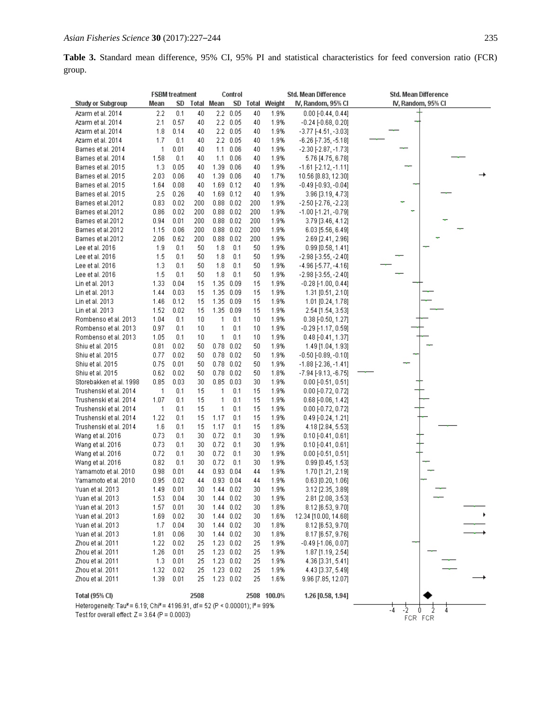**Table 3.** Standard mean difference, 95% CI, 95% PI and statistical characteristics for feed conversion ratio (FCR) group.

|                                                                                                                 | <b>FSBM</b> treatment<br>Control |              |          |              |                              |          | Std. Mean Difference | Std. Mean Difference                         |                    |
|-----------------------------------------------------------------------------------------------------------------|----------------------------------|--------------|----------|--------------|------------------------------|----------|----------------------|----------------------------------------------|--------------------|
| <b>Study or Subgroup</b>                                                                                        | Mean                             | SD           |          | Total Mean   |                              |          | SD Total Weight      | IV, Random, 95% CI                           | IV, Random, 95% CI |
| Azarm et al. 2014                                                                                               | 2.2                              | 0.1          | 40       |              | $2.2 \quad 0.05$             | 40       | 1.9%                 | $0.00$ [-0.44, 0.44]                         |                    |
| Azarm et al. 2014                                                                                               | 2.1                              | 0.57         | 40       |              | $2.2 \quad 0.05$             | 40       | 1.9%                 | $-0.24$ [ $-0.68$ , $0.20$ ]                 |                    |
| Azarm et al. 2014                                                                                               | 1.8                              | 0.14         | 40       |              | $2.2 \quad 0.05$             | 40       | 1.9%                 | $-3.77[-4.51, -3.03]$                        |                    |
| Azarm et al. 2014                                                                                               | 1.7                              | 0.1          | 40       | 2.2          | 0.05                         | 40       | 1.9%                 | $-6.26$ [-7.35, $-5.18$ ]                    |                    |
| Barnes et al. 2014                                                                                              | 1                                | 0.01         | 40       | 1.1          | 0.06                         | 40       | 1.9%                 | $-2.30[-2.87, -1.73]$                        |                    |
| Barnes et al. 2014                                                                                              | 1.58                             | 0.1          | 40       | 1.1          | 0.06                         | 40       | 1.9%                 | 5.76 [4.75, 6.78]                            |                    |
| Barnes et al. 2015                                                                                              | 1.3<br>2.03                      | 0.05         | 40       | 1.39         | 0.06                         | 40       | 1.9%                 | $-1.61$ [-2.12, -1.11]                       |                    |
| Barnes et al. 2015<br>Barnes et al. 2015                                                                        | 1.64                             | 0.06<br>0.08 | 40<br>40 |              | 1.39 0.06<br>1.69 0.12       | 40<br>40 | 1.7%<br>1.9%         | 10.56 [8.83, 12.30]<br>$-0.49[-0.93, -0.04]$ |                    |
| Barnes et al. 2015                                                                                              | 2.5                              | 0.26         | 40       |              | 1.69 0.12                    | 40       | 1.9%                 | 3.96 [3.19, 4.73]                            |                    |
| Barnes et al.2012                                                                                               | 0.83                             | 0.02         | 200      |              | $0.88$ $0.02$                | 200      | 1.9%                 | $-2.50[-2.76, -2.23]$                        |                    |
| Barnes et al.2012                                                                                               | 0.86                             | 0.02         | 200      |              | $0.88$ $0.02$                | 200      | 1.9%                 | $-1.00$ [-1.21, -0.79]                       |                    |
| Barnes et al.2012                                                                                               | 0.94                             | 0.01         | 200      |              | $0.88$ $0.02$                | 200      | 1.9%                 | 3.79 [3.46, 4.12]                            |                    |
| Barnes et al.2012                                                                                               | 1.15                             | 0.06         | 200      |              | $0.88$ $0.02$                | 200      | 1.9%                 | 6.03 [5.56, 6.49]                            |                    |
| Barnes et al.2012                                                                                               | 2.06                             | 0.62         | 200      |              | $0.88$ 0.02                  | 200      | 1.9%                 | 2.69 [2.41, 2.96]                            |                    |
| Lee et al. 2016                                                                                                 | 1.9                              | 0.1          | 50       | 1.8          | 0.1                          | 50       | 1.9%                 | $0.99$ [0.58, 1.41]                          |                    |
| Lee et al. 2016                                                                                                 | 1.5                              | 0.1          | 50       | 1.8          | 0.1                          | 50       | 1.9%                 | $-2.98[-3.55, -2.40]$                        |                    |
| Lee et al. 2016                                                                                                 | 1.3                              | 0.1          | 50       | 1.8          | 0.1                          | 50       | 1.9%                 | $-4.96[-5.77, -4.16]$                        |                    |
| Lee et al. 2016                                                                                                 | 1.5                              | 0.1          | 50       | 1.8          | 0.1                          | 50       | 1.9%                 | $-2.98[-3.55, -2.40]$                        |                    |
| Lin et al. 2013                                                                                                 | 1.33                             | 0.04         | 15       | 1.35         | 0.09                         | 15       | 1.9%                 | $-0.28$ [-1.00, 0.44]                        |                    |
| Lin et al. 2013                                                                                                 | 1.44                             | 0.03         | 15       |              | 1.35 0.09                    | 15       | 1.9%                 | 1.31 [0.51, 2.10]                            |                    |
| Lin et al. 2013                                                                                                 | 1.46                             | 0.12         | 15       | 1.35         | 0.09                         | 15       | 1.9%                 | 1.01 [0.24, 1.78]                            |                    |
| Lin et al. 2013                                                                                                 | 1.52                             | 0.02         | 15       |              | 1.35 0.09                    | 15       | 1.9%                 | 2.54 [1.54, 3.53]                            |                    |
| Rombenso et al. 2013                                                                                            | 1.04                             | 0.1          | 10       | 1            | 0.1                          | 10       | 1.9%                 | $0.38$ [-0.50, 1.27]                         |                    |
| Rombenso et al. 2013                                                                                            | 0.97                             | 0.1          | 10       | 1            | 0.1                          | 10       | 1.9%                 | $-0.29$ [-1.17, 0.59]                        |                    |
| Rombenso et al. 2013                                                                                            | 1.05                             | 0.1          | 10       | 1            | 0.1                          | 10       | 1.9%                 | $0.48$ [-0.41, 1.37]                         |                    |
| Shiu et al. 2015                                                                                                | 0.81                             | 0.02         | 50       | 0.78         | 0.02                         | 50       | 1.9%                 | 1.49 [1.04, 1.93]                            |                    |
| Shiu et al. 2015                                                                                                | 0.77                             | 0.02         | 50       | 0.78         | 0.02                         | 50       | 1.9%                 | $-0.50$ $[-0.89, -0.10]$                     |                    |
| Shiu et al. 2015                                                                                                | 0.75<br>0.62                     | 0.01<br>0.02 | 50<br>50 |              | $0.78$ 0.02<br>$0.78$ $0.02$ | 50       | 1.9%<br>1.8%         | -1.88 [-2.36, -1.41]<br>$-7.94[-9.13,-6.75]$ |                    |
| Shiu et al. 2015<br>Storebakken et al. 1998                                                                     | 0.85                             | 0.03         | 30       | 0.85         | 0.03                         | 50<br>30 | 1.9%                 | $0.00$ [-0.51, 0.51]                         |                    |
| Trushenski et al. 2014                                                                                          | 1                                | 0.1          | 15       | 1            | 0.1                          | 15       | 1.9%                 | $0.00$ [-0.72, 0.72]                         |                    |
| Trushenski et al. 2014                                                                                          | 1.07                             | 0.1          | 15       | 1            | 0.1                          | 15       | 1.9%                 | $0.68$ [-0.06, 1.42]                         |                    |
| Trushenski et al. 2014                                                                                          | 1                                | 0.1          | 15       | 1            | 0.1                          | 15       | 1.9%                 | $0.00$ [-0.72, 0.72]                         |                    |
| Trushenski et al. 2014                                                                                          | 1.22                             | 0.1          | 15       | 1.17         | 0.1                          | 15       | 1.9%                 | $0.49$ [-0.24, 1.21]                         |                    |
| Trushenski et al. 2014                                                                                          | 1.6                              | 0.1          | 15       | 1.17         | 0.1                          | 15       | 1.8%                 | 4.18 [2.84, 5.53]                            |                    |
| Wang et al. 2016                                                                                                | 0.73                             | 0.1          | 30       | 0.72         | 0.1                          | 30       | 1.9%                 | $0.10$ [-0.41, 0.61]                         |                    |
| Wang et al. 2016                                                                                                | 0.73                             | 0.1          | 30       | 0.72         | 0.1                          | 30       | 1.9%                 | $0.10$ [-0.41, 0.61]                         |                    |
| Wang et al. 2016                                                                                                | 0.72                             | 0.1          | 30       | 0.72         | 0.1                          | 30       | 1.9%                 | $0.00$ [- $0.51, 0.51$ ]                     |                    |
| Wang et al. 2016                                                                                                | 0.82                             | 0.1          | 30       | 0.72         | 0.1                          | 30       | 1.9%                 | 0.99 [0.45, 1.53]                            |                    |
| Yamamoto et al. 2010                                                                                            | 0.98                             | 0.01         | 44       |              | $0.93$ $0.04$                | 44       | 1.9%                 | $1.70$ [1.21, 2.19]                          |                    |
| Yamamoto et al. 2010                                                                                            | 0.95                             | 0.02         | 44       |              | 0.93 0.04                    | 44       | 1.9%                 | $0.63$ [0.20, 1.06]                          |                    |
| Yuan et al. 2013                                                                                                | 1.49                             | 0.01         |          | 30 1.44 0.02 |                              | 30       | 1.9%                 | 3.12 [2.35, 3.89]                            |                    |
| Yuan et al. 2013                                                                                                | 1.53                             | 0.04         | 30       |              | $1.44 \quad 0.02$            | 30       | 1.9%                 | 2.81 [2.08, 3.53]                            |                    |
| Yuan et al. 2013                                                                                                | 1.57                             | 0.01         | 30       |              | $1.44$ $0.02$                | 30       | 1.8%                 | 8.12 [6.53, 9.70]                            |                    |
| Yuan et al. 2013                                                                                                | 1.69                             | 0.02         | 30       |              | 1.44 0.02                    | 30       | 1.6%                 | 12.34 [10.00, 14.68]                         |                    |
| Yuan et al. 2013                                                                                                | 1.7                              | 0.04         | 30       |              | $1.44$ 0.02                  | 30       | 1.8%                 | 8.12 [6.53, 9.70]                            |                    |
| Yuan et al. 2013<br>Zhou et al. 2011                                                                            | 1.81<br>1.22                     | 0.06<br>0.02 | 30       |              | 1.44 0.02<br>1.23 0.02       | 30<br>25 | 1.8%<br>1.9%         | 8.17 [6.57, 9.76]<br>$-0.49$ [-1.06, 0.07]   |                    |
| Zhou et al. 2011                                                                                                | 1.26                             | 0.01         | 25<br>25 |              | 1.23 0.02                    | 25       | 1.9%                 | 1.87 [1.19, 2.54]                            |                    |
| Zhou et al. 2011                                                                                                | 1.3                              | 0.01         | 25       |              | 1.23 0.02                    | 25       | 1.9%                 | 4.36 [3.31, 5.41]                            |                    |
| Zhou et al. 2011                                                                                                | 1.32                             | 0.02         | 25.      |              | $1.23$ 0.02                  | 25       | 1.9%                 | 4.43 [3.37, 5.49]                            |                    |
| Zhou et al. 2011                                                                                                | 1.39                             | 0.01         | 25       |              | 1.23 0.02                    | 25       | 1.6%                 | 9.96 [7.85, 12.07]                           |                    |
| 2508<br><b>Total (95% CI)</b><br>2508 100.0%<br>1.26 [0.58, 1.94]                                               |                                  |              |          |              |                              |          |                      |                                              |                    |
| Heterogeneity: Tau <sup>2</sup> = 6.19; Chi <sup>2</sup> = 4196.91, df = 52 (P < 0.00001); i <sup>2</sup> = 99% |                                  |              |          |              |                              |          |                      |                                              |                    |
| -2<br>-4<br>۵<br>4<br>Test for overall effect: $Z = 3.64$ (P = 0.0003)<br>FCR FCR                               |                                  |              |          |              |                              |          |                      |                                              |                    |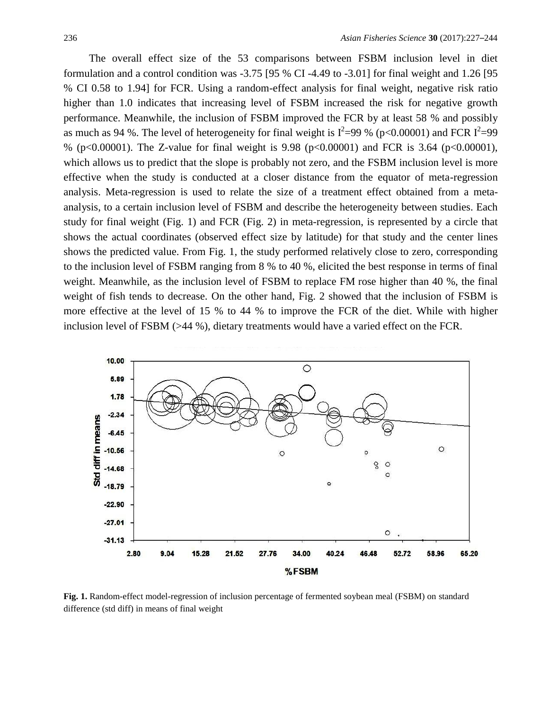The overall effect size of the 53 comparisons between FSBM inclusion level in diet formulation and a control condition was -3.75 [95 % CI -4.49 to -3.01] for final weight and 1.26 [95 % CI 0.58 to 1.94] for FCR. Using a random-effect analysis for final weight, negative risk ratio higher than 1.0 indicates that increasing level of FSBM increased the risk for negative growth performance. Meanwhile, the inclusion of FSBM improved the FCR by at least 58 % and possibly as much as 94 %. The level of heterogeneity for final weight is  $I^2=99$  % (p<0.00001) and FCR  $I^2=99$ % (p<0.00001). The Z-value for final weight is 9.98 (p<0.00001) and FCR is 3.64 (p<0.00001), which allows us to predict that the slope is probably not zero, and the FSBM inclusion level is more effective when the study is conducted at a closer distance from the equator of meta-regression analysis. Meta-regression is used to relate the size of a treatment effect obtained from a metaanalysis, to a certain inclusion level of FSBM and describe the heterogeneity between studies. Each study for final weight (Fig. 1) and FCR (Fig. 2) in meta-regression, is represented by a circle that shows the actual coordinates (observed effect size by latitude) for that study and the center lines shows the predicted value. From Fig. 1, the study performed relatively close to zero, corresponding to the inclusion level of FSBM ranging from 8 % to 40 %, elicited the best response in terms of final weight. Meanwhile, as the inclusion level of FSBM to replace FM rose higher than 40 %, the final weight of fish tends to decrease. On the other hand, Fig. 2 showed that the inclusion of FSBM is more effective at the level of 15 % to 44 % to improve the FCR of the diet. While with higher inclusion level of FSBM (>44 %), dietary treatments would have a varied effect on the FCR.



**Fig. 1.** Random-effect model-regression of inclusion percentage of fermented soybean meal (FSBM) on standard difference (std diff) in means of final weight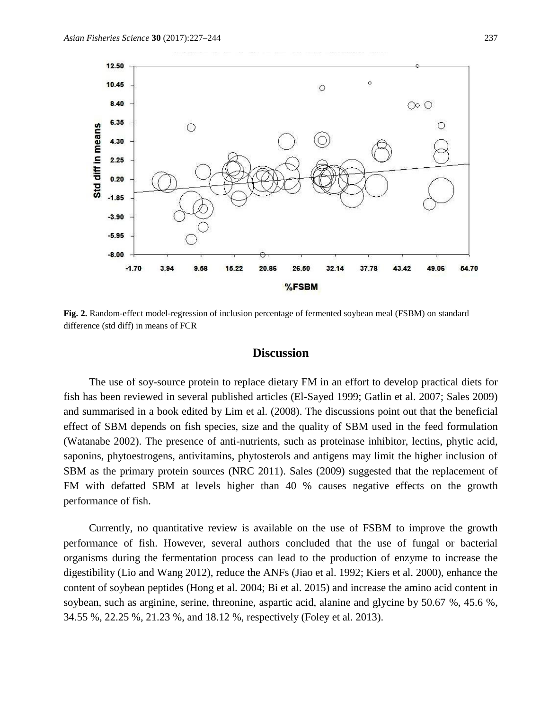

**Fig. 2.** Random-effect model-regression of inclusion percentage of fermented soybean meal (FSBM) on standard difference (std diff) in means of FCR

## **Discussion**

The use of soy-source protein to replace dietary FM in an effort to develop practical diets for fish has been reviewed in several published articles (El-Sayed 1999; Gatlin et al. 2007; Sales 2009) and summarised in a book edited by Lim et al. (2008). The discussions point out that the beneficial effect of SBM depends on fish species, size and the quality of SBM used in the feed formulation (Watanabe 2002). The presence of anti-nutrients, such as proteinase inhibitor, lectins, phytic acid, saponins, phytoestrogens, antivitamins, phytosterols and antigens may limit the higher inclusion of SBM as the primary protein sources (NRC 2011). Sales (2009) suggested that the replacement of FM with defatted SBM at levels higher than 40 % causes negative effects on the growth performance of fish.

Currently, no quantitative review is available on the use of FSBM to improve the growth performance of fish. However, several authors concluded that the use of fungal or bacterial organisms during the fermentation process can lead to the production of enzyme to increase the digestibility (Lio and Wang 2012), reduce the ANFs (Jiao et al. 1992; Kiers et al. 2000), enhance the content of soybean peptides (Hong et al. 2004; Bi et al. 2015) and increase the amino acid content in soybean, such as arginine, serine, threonine, aspartic acid, alanine and glycine by 50.67 %, 45.6 %, 34.55 %, 22.25 %, 21.23 %, and 18.12 %, respectively (Foley et al. 2013).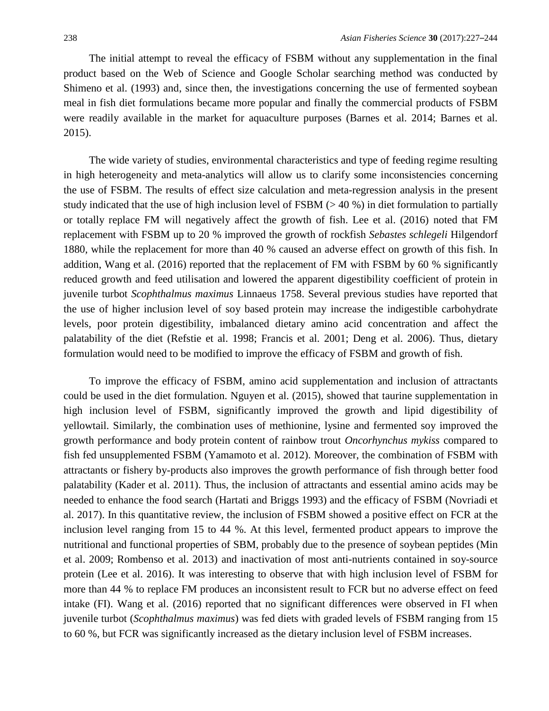The initial attempt to reveal the efficacy of FSBM without any supplementation in the final product based on the Web of Science and Google Scholar searching method was conducted by Shimeno et al. (1993) and, since then, the investigations concerning the use of fermented soybean meal in fish diet formulations became more popular and finally the commercial products of FSBM were readily available in the market for aquaculture purposes (Barnes et al. 2014; Barnes et al. 2015).

The wide variety of studies, environmental characteristics and type of feeding regime resulting in high heterogeneity and meta-analytics will allow us to clarify some inconsistencies concerning the use of FSBM. The results of effect size calculation and meta-regression analysis in the present study indicated that the use of high inclusion level of FSBM (> 40 %) in diet formulation to partially or totally replace FM will negatively affect the growth of fish. Lee et al. (2016) noted that FM replacement with FSBM up to 20 % improved the growth of rockfish *Sebastes schlegeli* Hilgendorf 1880*,* while the replacement for more than 40 % caused an adverse effect on growth of this fish. In addition, Wang et al. (2016) reported that the replacement of FM with FSBM by 60 % significantly reduced growth and feed utilisation and lowered the apparent digestibility coefficient of protein in juvenile turbot *Scophthalmus maximus* Linnaeus 1758. Several previous studies have reported that the use of higher inclusion level of soy based protein may increase the indigestible carbohydrate levels, poor protein digestibility, imbalanced dietary amino acid concentration and affect the palatability of the diet (Refstie et al. 1998; Francis et al. 2001; Deng et al. 2006). Thus, dietary formulation would need to be modified to improve the efficacy of FSBM and growth of fish.

To improve the efficacy of FSBM, amino acid supplementation and inclusion of attractants could be used in the diet formulation. Nguyen et al. (2015), showed that taurine supplementation in high inclusion level of FSBM, significantly improved the growth and lipid digestibility of yellowtail. Similarly, the combination uses of methionine, lysine and fermented soy improved the growth performance and body protein content of rainbow trout *Oncorhynchus mykiss* compared to fish fed unsupplemented FSBM (Yamamoto et al. 2012). Moreover, the combination of FSBM with attractants or fishery by-products also improves the growth performance of fish through better food palatability (Kader et al. 2011). Thus, the inclusion of attractants and essential amino acids may be needed to enhance the food search (Hartati and Briggs 1993) and the efficacy of FSBM (Novriadi et al. 2017). In this quantitative review, the inclusion of FSBM showed a positive effect on FCR at the inclusion level ranging from 15 to 44 %. At this level, fermented product appears to improve the nutritional and functional properties of SBM, probably due to the presence of soybean peptides (Min et al. 2009; Rombenso et al. 2013) and inactivation of most anti-nutrients contained in soy-source protein (Lee et al. 2016). It was interesting to observe that with high inclusion level of FSBM for more than 44 % to replace FM produces an inconsistent result to FCR but no adverse effect on feed intake (FI). Wang et al. (2016) reported that no significant differences were observed in FI when juvenile turbot (*Scophthalmus maximus*) was fed diets with graded levels of FSBM ranging from 15 to 60 %, but FCR was significantly increased as the dietary inclusion level of FSBM increases.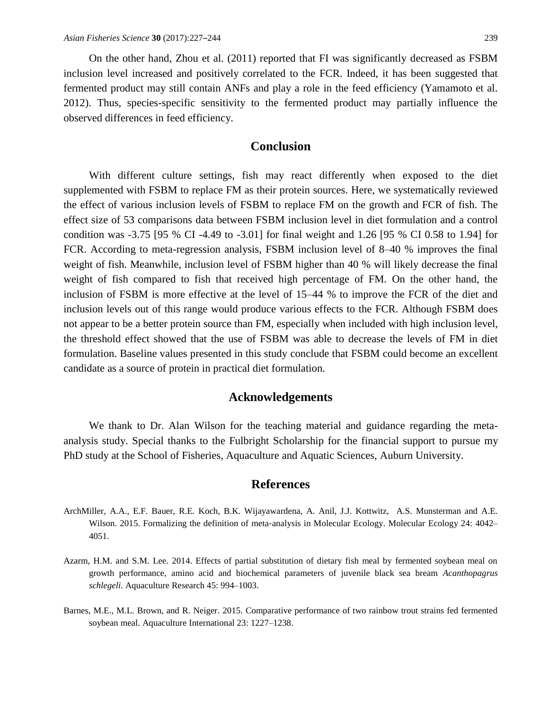On the other hand, Zhou et al. (2011) reported that FI was significantly decreased as FSBM inclusion level increased and positively correlated to the FCR. Indeed, it has been suggested that fermented product may still contain ANFs and play a role in the feed efficiency (Yamamoto et al. 2012). Thus, species-specific sensitivity to the fermented product may partially influence the observed differences in feed efficiency.

# **Conclusion**

With different culture settings, fish may react differently when exposed to the diet supplemented with FSBM to replace FM as their protein sources. Here, we systematically reviewed the effect of various inclusion levels of FSBM to replace FM on the growth and FCR of fish. The effect size of 53 comparisons data between FSBM inclusion level in diet formulation and a control condition was -3.75 [95 % CI -4.49 to -3.01] for final weight and 1.26 [95 % CI 0.58 to 1.94] for FCR. According to meta-regression analysis, FSBM inclusion level of 8–40 % improves the final weight of fish. Meanwhile, inclusion level of FSBM higher than 40 % will likely decrease the final weight of fish compared to fish that received high percentage of FM. On the other hand, the inclusion of FSBM is more effective at the level of 15–44 % to improve the FCR of the diet and inclusion levels out of this range would produce various effects to the FCR. Although FSBM does not appear to be a better protein source than FM, especially when included with high inclusion level, the threshold effect showed that the use of FSBM was able to decrease the levels of FM in diet formulation. Baseline values presented in this study conclude that FSBM could become an excellent candidate as a source of protein in practical diet formulation.

## **Acknowledgements**

We thank to Dr. Alan Wilson for the teaching material and guidance regarding the metaanalysis study. Special thanks to the Fulbright Scholarship for the financial support to pursue my PhD study at the School of Fisheries, Aquaculture and Aquatic Sciences, Auburn University.

## **References**

- ArchMiller, A.A., E.F. Bauer, R.E. Koch, B.K. Wijayawardena, A. Anil, J.J. Kottwitz, A.S. Munsterman and A.E. Wilson. 2015. Formalizing the definition of meta-analysis in Molecular Ecology. Molecular Ecology 24: 4042– 4051.
- Azarm, H.M. and S.M. Lee. 2014. Effects of partial substitution of dietary fish meal by fermented soybean meal on growth performance, amino acid and biochemical parameters of juvenile black sea bream *Acanthopagrus schlegeli*. Aquaculture Research 45: 994–1003.
- Barnes, M.E., M.L. Brown, and R. Neiger. 2015. Comparative performance of two rainbow trout strains fed fermented soybean meal. Aquaculture International 23: 1227–1238.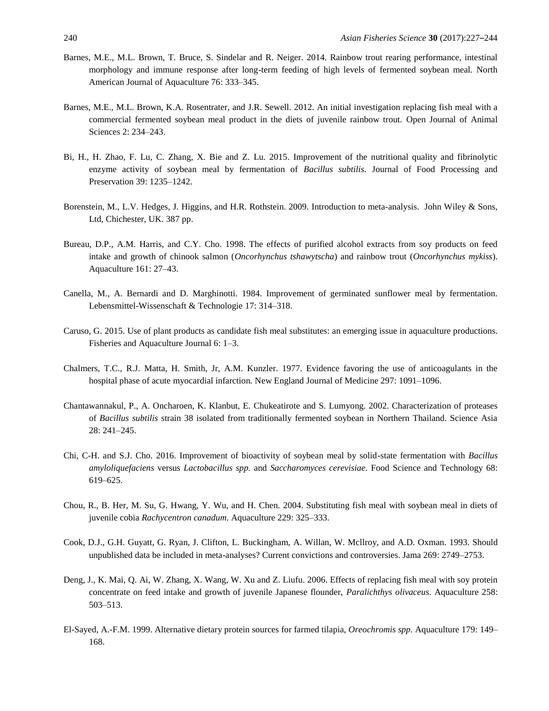- Barnes, M.E., M.L. Brown, T. Bruce, S. Sindelar and R. Neiger. 2014. Rainbow trout rearing performance, intestinal morphology and immune response after long-term feeding of high levels of fermented soybean meal. North American Journal of Aquaculture 76: 333–345.
- Barnes, M.E., M.L. Brown, K.A. Rosentrater, and J.R. Sewell. 2012. An initial investigation replacing fish meal with a commercial fermented soybean meal product in the diets of juvenile rainbow trout. Open Journal of Animal Sciences 2: 234–243.
- Bi, H., H. Zhao, F. Lu, C. Zhang, X. Bie and Z. Lu. 2015. Improvement of the nutritional quality and fibrinolytic enzyme activity of soybean meal by fermentation of *Bacillus subtilis*. Journal of Food Processing and Preservation 39: 1235–1242.
- Borenstein, M., L.V. Hedges, J. Higgins, and H.R. Rothstein. 2009. Introduction to meta-analysis. John Wiley & Sons, Ltd, Chichester, UK. 387 pp.
- Bureau, D.P., A.M. Harris, and C.Y. Cho. 1998. The effects of purified alcohol extracts from soy products on feed intake and growth of chinook salmon (*Oncorhynchus tshawytscha*) and rainbow trout (*Oncorhynchus mykiss*). Aquaculture 161: 27–43.
- Canella, M., A. Bernardi and D. Marghinotti. 1984. Improvement of germinated sunflower meal by fermentation. Lebensmittel-Wissenschaft & Technologie 17: 314–318.
- Caruso, G. 2015. Use of plant products as candidate fish meal substitutes: an emerging issue in aquaculture productions. Fisheries and Aquaculture Journal 6: 1–3.
- Chalmers, T.C., R.J. Matta, H. Smith, Jr, A.M. Kunzler. 1977. Evidence favoring the use of anticoagulants in the hospital phase of acute myocardial infarction. New England Journal of Medicine 297: 1091–1096.
- Chantawannakul, P., A. Oncharoen, K. Klanbut, E. Chukeatirote and S. Lumyong. 2002. Characterization of proteases of *Bacillus subtilis* strain 38 isolated from traditionally fermented soybean in Northern Thailand. Science Asia 28: 241–245.
- Chi, C-H. and S.J. Cho. 2016. Improvement of bioactivity of soybean meal by solid-state fermentation with *Bacillus amyloliquefaciens* versus *Lactobacillus spp.* and *Saccharomyces cerevisiae*. Food Science and Technology 68: 619–625.
- Chou, R., B. Her, M. Su, G. Hwang, Y. Wu, and H. Chen. 2004. Substituting fish meal with soybean meal in diets of juvenile cobia *Rachycentron canadum*. Aquaculture 229: 325–333.
- Cook, D.J., G.H. Guyatt, G. Ryan, J. Clifton, L. Buckingham, A. Willan, W. Mcllroy, and A.D. Oxman. 1993. Should unpublished data be included in meta-analyses? Current convictions and controversies. Jama 269: 2749–2753.
- Deng, J., K. Mai, Q. Ai, W. Zhang, X. Wang, W. Xu and Z. Liufu. 2006. Effects of replacing fish meal with soy protein concentrate on feed intake and growth of juvenile Japanese flounder, *Paralichthys olivaceus*. Aquaculture 258: 503–513.
- El-Sayed, A.-F.M. 1999. Alternative dietary protein sources for farmed tilapia, *Oreochromis spp.* Aquaculture 179: 149– 168.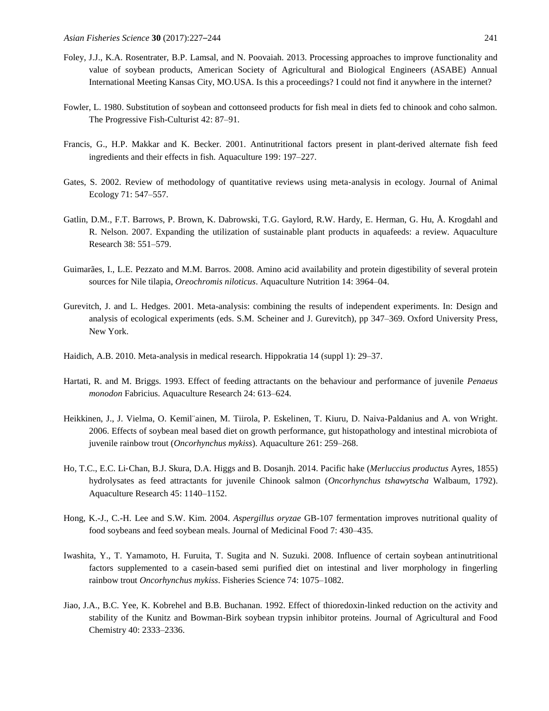- Foley, J.J., K.A. Rosentrater, B.P. Lamsal, and N. Poovaiah. 2013. Processing approaches to improve functionality and value of soybean products, American Society of Agricultural and Biological Engineers (ASABE) Annual International Meeting Kansas City, MO.USA. Is this a proceedings? I could not find it anywhere in the internet?
- Fowler, L. 1980. Substitution of soybean and cottonseed products for fish meal in diets fed to chinook and coho salmon. The Progressive Fish-Culturist 42: 87–91.
- Francis, G., H.P. Makkar and K. Becker. 2001. Antinutritional factors present in plant-derived alternate fish feed ingredients and their effects in fish. Aquaculture 199: 197–227.
- Gates, S. 2002. Review of methodology of quantitative reviews using meta‐analysis in ecology. Journal of Animal Ecology 71: 547–557.
- Gatlin, D.M., F.T. Barrows, P. Brown, K. Dabrowski, T.G. Gaylord, R.W. Hardy, E. Herman, G. Hu, Å. Krogdahl and R. Nelson. 2007. Expanding the utilization of sustainable plant products in aquafeeds: a review. Aquaculture Research 38: 551–579.
- Guimarães, I., L.E. Pezzato and M.M. Barros. 2008. Amino acid availability and protein digestibility of several protein sources for Nile tilapia, *Oreochromis niloticus*. Aquaculture Nutrition 14: 3964–04.
- Gurevitch, J. and L. Hedges. 2001. Meta-analysis: combining the results of independent experiments. In: Design and analysis of ecological experiments (eds. S.M. Scheiner and J. Gurevitch), pp 347–369. Oxford University Press, New York.
- Haidich, A.B. 2010. Meta-analysis in medical research. Hippokratia 14 (suppl 1): 29–37.
- Hartati, R. and M. Briggs. 1993. Effect of feeding attractants on the behaviour and performance of juvenile *Penaeus monodon* Fabricius. Aquaculture Research 24: 613–624.
- Heikkinen, J., J. Vielma, O. Kemil¨ainen, M. Tiirola, P. Eskelinen, T. Kiuru, D. Naiva-Paldanius and A. von Wright. 2006. Effects of soybean meal based diet on growth performance, gut histopathology and intestinal microbiota of juvenile rainbow trout (*Oncorhynchus mykiss*). Aquaculture 261: 259–268.
- Ho, T.C., E.C. Li‐Chan, B.J. Skura, D.A. Higgs and B. Dosanjh. 2014. Pacific hake (*Merluccius productus* Ayres, 1855) hydrolysates as feed attractants for juvenile Chinook salmon (*Oncorhynchus tshawytscha* Walbaum, 1792). Aquaculture Research 45: 1140–1152.
- Hong, K.-J., C.-H. Lee and S.W. Kim. 2004. *Aspergillus oryzae* GB-107 fermentation improves nutritional quality of food soybeans and feed soybean meals. Journal of Medicinal Food 7: 430–435.
- Iwashita, Y., T. Yamamoto, H. Furuita, T. Sugita and N. Suzuki. 2008. Influence of certain soybean antinutritional factors supplemented to a casein-based semi purified diet on intestinal and liver morphology in fingerling rainbow trout *Oncorhynchus mykiss*. Fisheries Science 74: 1075–1082.
- Jiao, J.A., B.C. Yee, K. Kobrehel and B.B. Buchanan. 1992. Effect of thioredoxin-linked reduction on the activity and stability of the Kunitz and Bowman-Birk soybean trypsin inhibitor proteins. Journal of Agricultural and Food Chemistry 40: 2333–2336.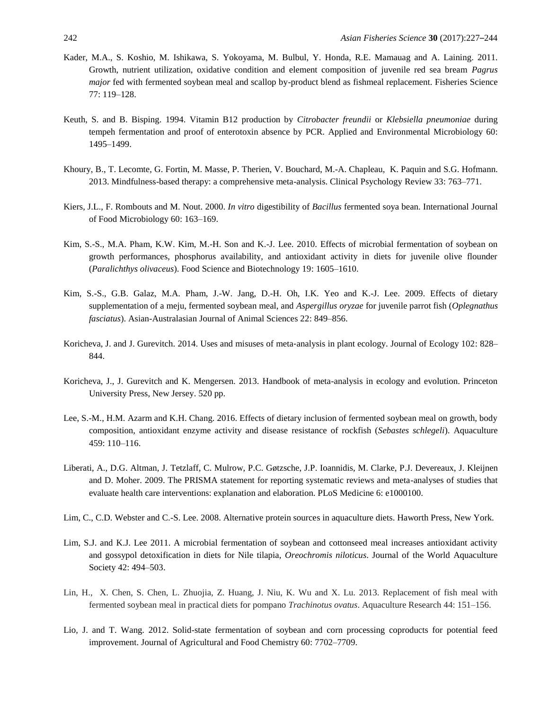- Kader, M.A., S. Koshio, M. Ishikawa, S. Yokoyama, M. Bulbul, Y. Honda, R.E. Mamauag and A. Laining. 2011. Growth, nutrient utilization, oxidative condition and element composition of juvenile red sea bream *Pagrus major* fed with fermented soybean meal and scallop by-product blend as fishmeal replacement. Fisheries Science 77: 119–128.
- Keuth, S. and B. Bisping. 1994. Vitamin B12 production by *Citrobacter freundii* or *Klebsiella pneumoniae* during tempeh fermentation and proof of enterotoxin absence by PCR. Applied and Environmental Microbiology 60: 1495–1499.
- Khoury, B., T. Lecomte, G. Fortin, M. Masse, P. Therien, V. Bouchard, M.-A. Chapleau, K. Paquin and S.G. Hofmann. 2013. Mindfulness-based therapy: a comprehensive meta-analysis. Clinical Psychology Review 33: 763–771.
- Kiers, J.L., F. Rombouts and M. Nout. 2000. *In vitro* digestibility of *Bacillus* fermented soya bean. International Journal of Food Microbiology 60: 163–169.
- Kim, S.-S., M.A. Pham, K.W. Kim, M.-H. Son and K.-J. Lee. 2010. Effects of microbial fermentation of soybean on growth performances, phosphorus availability, and antioxidant activity in diets for juvenile olive flounder (*Paralichthys olivaceus*). Food Science and Biotechnology 19: 1605–1610.
- Kim, S.-S., G.B. Galaz, M.A. Pham, J.-W. Jang, D.-H. Oh, I.K. Yeo and K.-J. Lee. 2009. Effects of dietary supplementation of a meju, fermented soybean meal, and *Aspergillus oryzae* for juvenile parrot fish (*Oplegnathus fasciatus*). Asian-Australasian Journal of Animal Sciences 22: 849–856.
- Koricheva, J. and J. Gurevitch. 2014. Uses and misuses of meta-analysis in plant ecology. Journal of Ecology 102: 828– 844.
- Koricheva, J., J. Gurevitch and K. Mengersen. 2013. Handbook of meta-analysis in ecology and evolution. Princeton University Press, New Jersey. 520 pp.
- Lee, S.-M., H.M. Azarm and K.H. Chang. 2016. Effects of dietary inclusion of fermented soybean meal on growth, body composition, antioxidant enzyme activity and disease resistance of rockfish (*Sebastes schlegeli*). Aquaculture 459: 110–116.
- Liberati, A., D.G. Altman, J. Tetzlaff, C. Mulrow, P.C. Gøtzsche, J.P. Ioannidis, M. Clarke, P.J. Devereaux, J. Kleijnen and D. Moher. 2009. The PRISMA statement for reporting systematic reviews and meta-analyses of studies that evaluate health care interventions: explanation and elaboration. PLoS Medicine 6: e1000100.
- Lim, C., C.D. Webster and C.-S. Lee. 2008. Alternative protein sources in aquaculture diets. Haworth Press, New York.
- Lim, S.J. and K.J. Lee 2011. A microbial fermentation of soybean and cottonseed meal increases antioxidant activity and gossypol detoxification in diets for Nile tilapia, *Oreochromis niloticus*. Journal of the World Aquaculture Society 42: 494–503.
- Lin, H., X. Chen, S. Chen, L. Zhuojia, Z. Huang, J. Niu, K. Wu and X. Lu. 2013. Replacement of fish meal with fermented soybean meal in practical diets for pompano *Trachinotus ovatus*. Aquaculture Research 44: 151–156.
- Lio, J. and T. Wang. 2012. Solid-state fermentation of soybean and corn processing coproducts for potential feed improvement. Journal of Agricultural and Food Chemistry 60: 7702–7709.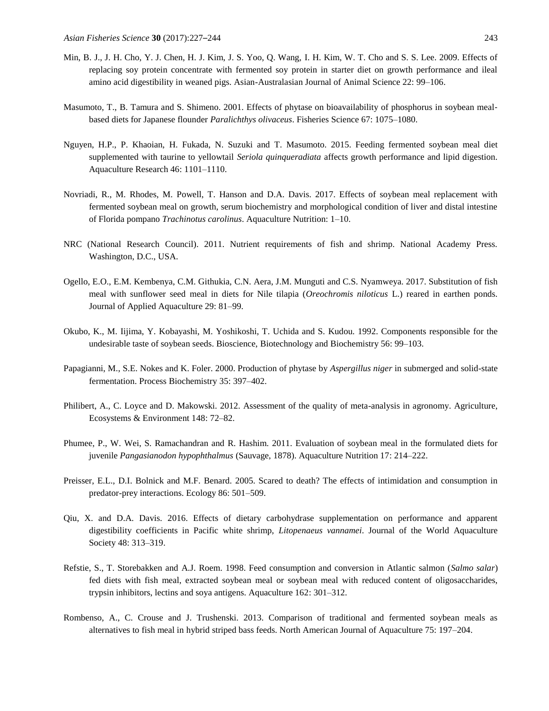- Min, B. J., J. H. Cho, Y. J. Chen, H. J. Kim, J. S. Yoo, Q. Wang, I. H. Kim, W. T. Cho and S. S. Lee. 2009. Effects of replacing soy protein concentrate with fermented soy protein in starter diet on growth performance and ileal amino acid digestibility in weaned pigs. Asian-Australasian Journal of Animal Science 22: 99–106.
- Masumoto, T., B. Tamura and S. Shimeno. 2001. Effects of phytase on bioavailability of phosphorus in soybean mealbased diets for Japanese flounder *Paralichthys olivaceus*. Fisheries Science 67: 1075–1080.
- Nguyen, H.P., P. Khaoian, H. Fukada, N. Suzuki and T. Masumoto. 2015. Feeding fermented soybean meal diet supplemented with taurine to yellowtail *Seriola quinqueradiata* affects growth performance and lipid digestion. Aquaculture Research 46: 1101–1110.
- Novriadi, R., M. Rhodes, M. Powell, T. Hanson and D.A. Davis. 2017. Effects of soybean meal replacement with fermented soybean meal on growth, serum biochemistry and morphological condition of liver and distal intestine of Florida pompano *Trachinotus carolinus*. Aquaculture Nutrition: 1–10.
- NRC (National Research Council). 2011. Nutrient requirements of fish and shrimp. National Academy Press. Washington, D.C., USA.
- Ogello, E.O., E.M. Kembenya, C.M. Githukia, C.N. Aera, J.M. Munguti and C.S. Nyamweya. 2017. Substitution of fish meal with sunflower seed meal in diets for Nile tilapia (*Oreochromis niloticus* L.) reared in earthen ponds. Journal of Applied Aquaculture 29: 81–99.
- Okubo, K., M. Iijima, Y. Kobayashi, M. Yoshikoshi, T. Uchida and S. Kudou. 1992. Components responsible for the undesirable taste of soybean seeds. Bioscience, Biotechnology and Biochemistry 56: 99–103.
- Papagianni, M., S.E. Nokes and K. Foler. 2000. Production of phytase by *Aspergillus niger* in submerged and solid-state fermentation. Process Biochemistry 35: 397–402.
- Philibert, A., C. Loyce and D. Makowski. 2012. Assessment of the quality of meta-analysis in agronomy. Agriculture, Ecosystems & Environment 148: 72–82.
- Phumee, P., W. Wei, S. Ramachandran and R. Hashim. 2011. Evaluation of soybean meal in the formulated diets for juvenile *Pangasianodon hypophthalmus* (Sauvage, 1878). Aquaculture Nutrition 17: 214–222.
- Preisser, E.L., D.I. Bolnick and M.F. Benard. 2005. Scared to death? The effects of intimidation and consumption in predator-prey interactions. Ecology 86: 501–509.
- Qiu, X. and D.A. Davis. 2016. Effects of dietary carbohydrase supplementation on performance and apparent digestibility coefficients in Pacific white shrimp, *Litopenaeus vannamei*. Journal of the World Aquaculture Society 48: 313–319.
- Refstie, S., T. Storebakken and A.J. Roem. 1998. Feed consumption and conversion in Atlantic salmon (*Salmo salar*) fed diets with fish meal, extracted soybean meal or soybean meal with reduced content of oligosaccharides, trypsin inhibitors, lectins and soya antigens. Aquaculture 162: 301–312.
- Rombenso, A., C. Crouse and J. Trushenski. 2013. Comparison of traditional and fermented soybean meals as alternatives to fish meal in hybrid striped bass feeds. North American Journal of Aquaculture 75: 197–204.